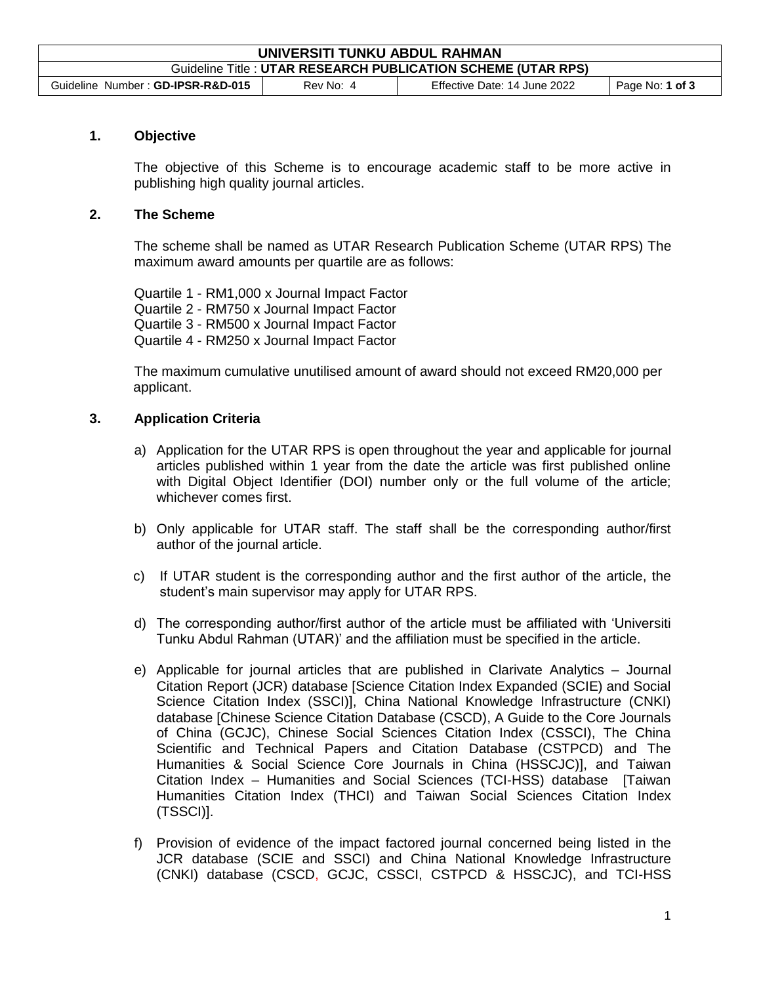| UNIVERSITI TUNKU ABDUL RAHMAN                                 |           |                              |                     |  |  |
|---------------------------------------------------------------|-----------|------------------------------|---------------------|--|--|
| Guideline Title : UTAR RESEARCH PUBLICATION SCHEME (UTAR RPS) |           |                              |                     |  |  |
| Guideline Number: GD-IPSR-R&D-015                             | Rev No: 4 | Effective Date: 14 June 2022 | Page No: $1$ of $3$ |  |  |

## **1. Objective**

The objective of this Scheme is to encourage academic staff to be more active in publishing high quality journal articles.

## **2. The Scheme**

The scheme shall be named as UTAR Research Publication Scheme (UTAR RPS) The maximum award amounts per quartile are as follows:

Quartile 1 - RM1,000 x Journal Impact Factor Quartile 2 - RM750 x Journal Impact Factor Quartile 3 - RM500 x Journal Impact Factor Quartile 4 - RM250 x Journal Impact Factor

The maximum cumulative unutilised amount of award should not exceed RM20,000 per applicant.

## **3. Application Criteria**

- a) Application for the UTAR RPS is open throughout the year and applicable for journal articles published within 1 year from the date the article was first published online with Digital Object Identifier (DOI) number only or the full volume of the article; whichever comes first.
- b) Only applicable for UTAR staff. The staff shall be the corresponding author/first author of the journal article.
- c) If UTAR student is the corresponding author and the first author of the article, the student's main supervisor may apply for UTAR RPS.
- d) The corresponding author/first author of the article must be affiliated with 'Universiti Tunku Abdul Rahman (UTAR)' and the affiliation must be specified in the article.
- e) Applicable for journal articles that are published in Clarivate Analytics Journal Citation Report (JCR) database [Science Citation Index Expanded (SCIE) and Social Science Citation Index (SSCI)], China National Knowledge Infrastructure (CNKI) database [Chinese Science Citation Database (CSCD), A Guide to the Core Journals of China (GCJC), Chinese Social Sciences Citation Index (CSSCI), The China Scientific and Technical Papers and Citation Database (CSTPCD) and The Humanities & Social Science Core Journals in China (HSSCJC)], and Taiwan Citation Index – Humanities and Social Sciences (TCI-HSS) database [Taiwan Humanities Citation Index (THCI) and Taiwan Social Sciences Citation Index (TSSCI)].
- f) Provision of evidence of the impact factored journal concerned being listed in the JCR database (SCIE and SSCI) and China National Knowledge Infrastructure (CNKI) database (CSCD, GCJC, CSSCI, CSTPCD & HSSCJC), and TCI-HSS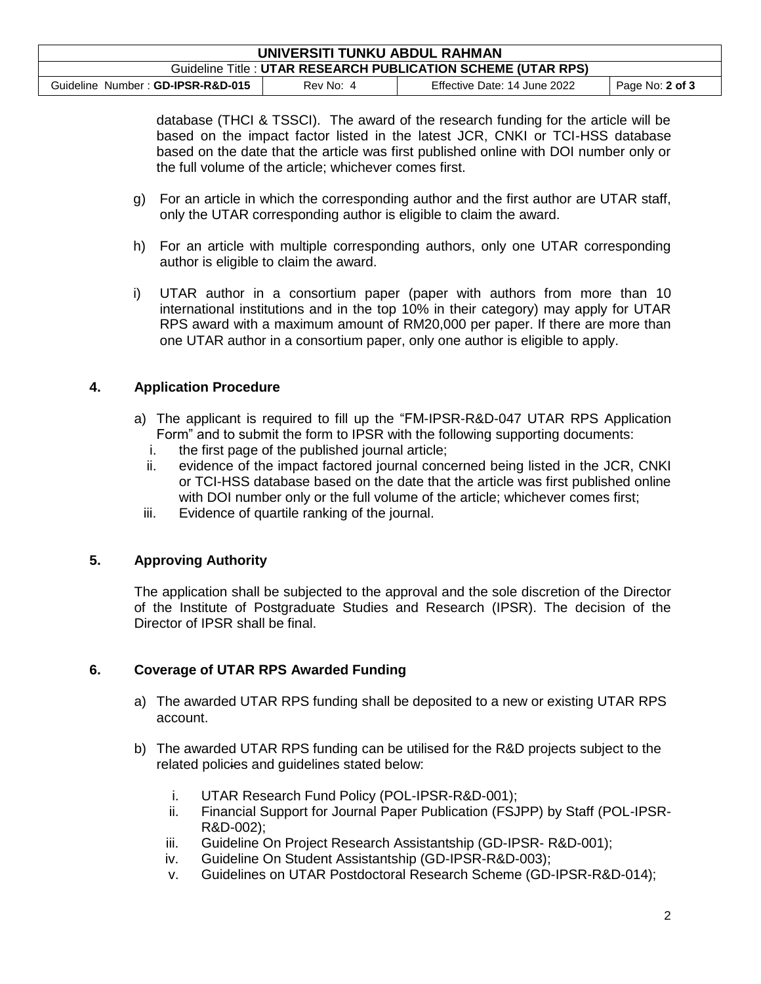| UNIVERSITI TUNKU ABDUL RAHMAN                                 |           |                              |                 |  |  |
|---------------------------------------------------------------|-----------|------------------------------|-----------------|--|--|
| Guideline Title : UTAR RESEARCH PUBLICATION SCHEME (UTAR RPS) |           |                              |                 |  |  |
| Guideline Number: GD-IPSR-R&D-015                             | Rev No: 4 | Effective Date: 14 June 2022 | Page No: 2 of 3 |  |  |

database (THCI & TSSCI). The award of the research funding for the article will be based on the impact factor listed in the latest JCR, CNKI or TCI-HSS database based on the date that the article was first published online with DOI number only or the full volume of the article; whichever comes first.

- g) For an article in which the corresponding author and the first author are UTAR staff, only the UTAR corresponding author is eligible to claim the award.
- h) For an article with multiple corresponding authors, only one UTAR corresponding author is eligible to claim the award.
- i) UTAR author in a consortium paper (paper with authors from more than 10 international institutions and in the top 10% in their category) may apply for UTAR RPS award with a maximum amount of RM20,000 per paper. If there are more than one UTAR author in a consortium paper, only one author is eligible to apply.

# **4. Application Procedure**

- a) The applicant is required to fill up the "FM-IPSR-R&D-047 UTAR RPS Application Form" and to submit the form to IPSR with the following supporting documents:
	- i. the first page of the published journal article;
	- ii. evidence of the impact factored journal concerned being listed in the JCR, CNKI or TCI-HSS database based on the date that the article was first published online with DOI number only or the full volume of the article; whichever comes first;
	- iii. Evidence of quartile ranking of the journal.

# **5. Approving Authority**

The application shall be subjected to the approval and the sole discretion of the Director of the Institute of Postgraduate Studies and Research (IPSR). The decision of the Director of IPSR shall be final.

# **6. Coverage of UTAR RPS Awarded Funding**

- a) The awarded UTAR RPS funding shall be deposited to a new or existing UTAR RPS account.
- b) The awarded UTAR RPS funding can be utilised for the R&D projects subject to the related policies and guidelines stated below:
	- i. UTAR Research Fund Policy (POL-IPSR-R&D-001);
	- ii. Financial Support for Journal Paper Publication (FSJPP) by Staff (POL-IPSR-R&D-002);
	- iii. Guideline On Project Research Assistantship (GD-IPSR- R&D-001);
	- iv. Guideline On Student Assistantship (GD-IPSR-R&D-003);
	- v. Guidelines on UTAR Postdoctoral Research Scheme (GD-IPSR-R&D-014);